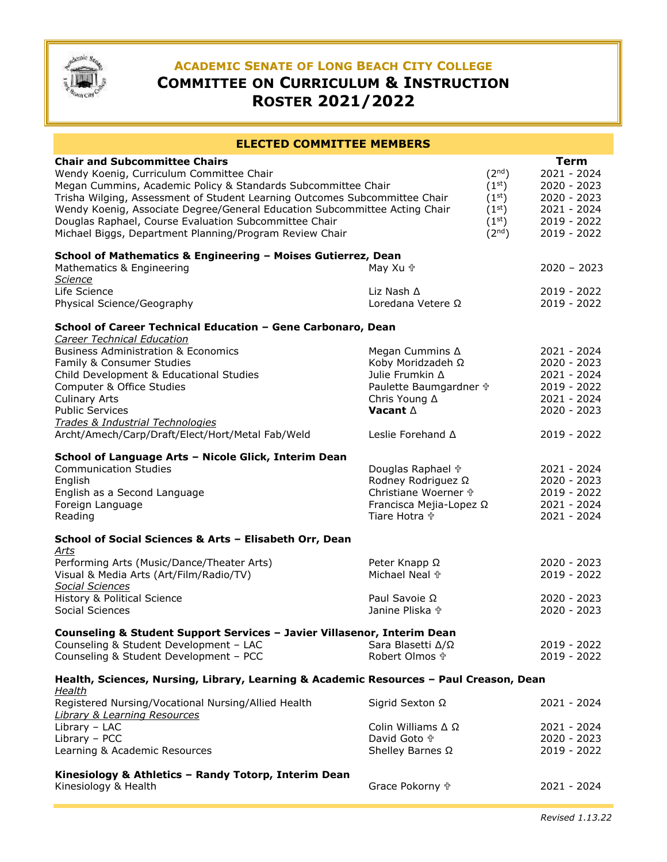

# **ACADEMIC SENATE OF LONG BEACH CITY COLLEGE COMMITTEE ON CURRICULUM & INSTRUCTION ROSTER 2021/2022**

| <b>ELECTED COMMITTEE MEMBERS</b>                                                                                                                                                                                                                                                                                                                                                                                                                                                                                                                                      |                                                                                                                                                          |  |                                                                                                           |  |
|-----------------------------------------------------------------------------------------------------------------------------------------------------------------------------------------------------------------------------------------------------------------------------------------------------------------------------------------------------------------------------------------------------------------------------------------------------------------------------------------------------------------------------------------------------------------------|----------------------------------------------------------------------------------------------------------------------------------------------------------|--|-----------------------------------------------------------------------------------------------------------|--|
| <b>Chair and Subcommittee Chairs</b><br>(2 <sup>nd</sup> )<br>Wendy Koenig, Curriculum Committee Chair<br>(1 <sup>st</sup> )<br>Megan Cummins, Academic Policy & Standards Subcommittee Chair<br>Trisha Wilging, Assessment of Student Learning Outcomes Subcommittee Chair<br>(1 <sup>st</sup> )<br>Wendy Koenig, Associate Degree/General Education Subcommittee Acting Chair<br>(1 <sup>st</sup> )<br>(1 <sup>st</sup> )<br>Douglas Raphael, Course Evaluation Subcommittee Chair<br>(2 <sup>nd</sup> )<br>Michael Biggs, Department Planning/Program Review Chair |                                                                                                                                                          |  | <b>Term</b><br>$2021 - 2024$<br>2020 - 2023<br>2020 - 2023<br>2021 - 2024<br>2019 - 2022<br>$2019 - 2022$ |  |
| School of Mathematics & Engineering - Moises Gutierrez, Dean<br>Mathematics & Engineering<br><b>Science</b><br>Life Science<br>Physical Science/Geography                                                                                                                                                                                                                                                                                                                                                                                                             | May Xu <sup>+</sup><br>Liz Nash $\Delta$<br>Loredana Vetere Ω                                                                                            |  | $2020 - 2023$<br>2019 - 2022<br>2019 - 2022                                                               |  |
| School of Career Technical Education - Gene Carbonaro, Dean<br><b>Career Technical Education</b><br><b>Business Administration &amp; Economics</b><br>Family & Consumer Studies<br>Child Development & Educational Studies<br>Computer & Office Studies<br><b>Culinary Arts</b><br><b>Public Services</b><br>Trades & Industrial Technologies<br>Archt/Amech/Carp/Draft/Elect/Hort/Metal Fab/Weld                                                                                                                                                                     | Megan Cummins $\Delta$<br>Koby Moridzadeh Ω<br>Julie Frumkin A<br>Paulette Baumgardner +<br>Chris Young ∆<br>Vacant $\Delta$<br>Leslie Forehand $\Delta$ |  | 2021 - 2024<br>$2020 - 2023$<br>2021 - 2024<br>2019 - 2022<br>2021 - 2024<br>2020 - 2023<br>2019 - 2022   |  |
| School of Language Arts - Nicole Glick, Interim Dean<br><b>Communication Studies</b><br>English<br>English as a Second Language<br>Foreign Language<br>Reading                                                                                                                                                                                                                                                                                                                                                                                                        | Douglas Raphael +<br>Rodney Rodriguez Ω<br>Christiane Woerner +<br>Francisca Mejia-Lopez Ω<br>Tiare Hotra <sup>�</sup>                                   |  | 2021 - 2024<br>$2020 - 2023$<br>2019 - 2022<br>2021 - 2024<br>2021 - 2024                                 |  |
| School of Social Sciences & Arts - Elisabeth Orr, Dean<br>Arts<br>Performing Arts (Music/Dance/Theater Arts)<br>Visual & Media Arts (Art/Film/Radio/TV)<br><b>Social Sciences</b><br>History & Political Science<br>Social Sciences                                                                                                                                                                                                                                                                                                                                   | Peter Knapp Ω<br>Michael Neal <sup>+</sup><br>Paul Savoie $\Omega$<br>Janine Pliska <sup>+</sup>                                                         |  | 2020 - 2023<br>$2019 - 2022$<br>$2020 - 2023$<br>2020 - 2023                                              |  |
| Counseling & Student Support Services - Javier Villasenor, Interim Dean<br>Counseling & Student Development - LAC<br>Counseling & Student Development - PCC                                                                                                                                                                                                                                                                                                                                                                                                           | Sara Blasetti $\Delta/\Omega$<br>Robert Olmos <sup>+</sup>                                                                                               |  | 2019 - 2022<br>2019 - 2022                                                                                |  |
| Health, Sciences, Nursing, Library, Learning & Academic Resources - Paul Creason, Dean<br><u>Health</u><br>Registered Nursing/Vocational Nursing/Allied Health<br><b>Library &amp; Learning Resources</b><br>Library - LAC<br>Library - PCC<br>Learning & Academic Resources                                                                                                                                                                                                                                                                                          | Sigrid Sexton Ω<br>Colin Williams $\Delta \Omega$<br>David Goto <sup>中</sup><br>Shelley Barnes Ω                                                         |  | 2021 - 2024<br>2021 - 2024<br>2020 - 2023<br>2019 - 2022                                                  |  |
| Kinesiology & Athletics - Randy Totorp, Interim Dean<br>Kinesiology & Health                                                                                                                                                                                                                                                                                                                                                                                                                                                                                          | Grace Pokorny +                                                                                                                                          |  | 2021 - 2024                                                                                               |  |